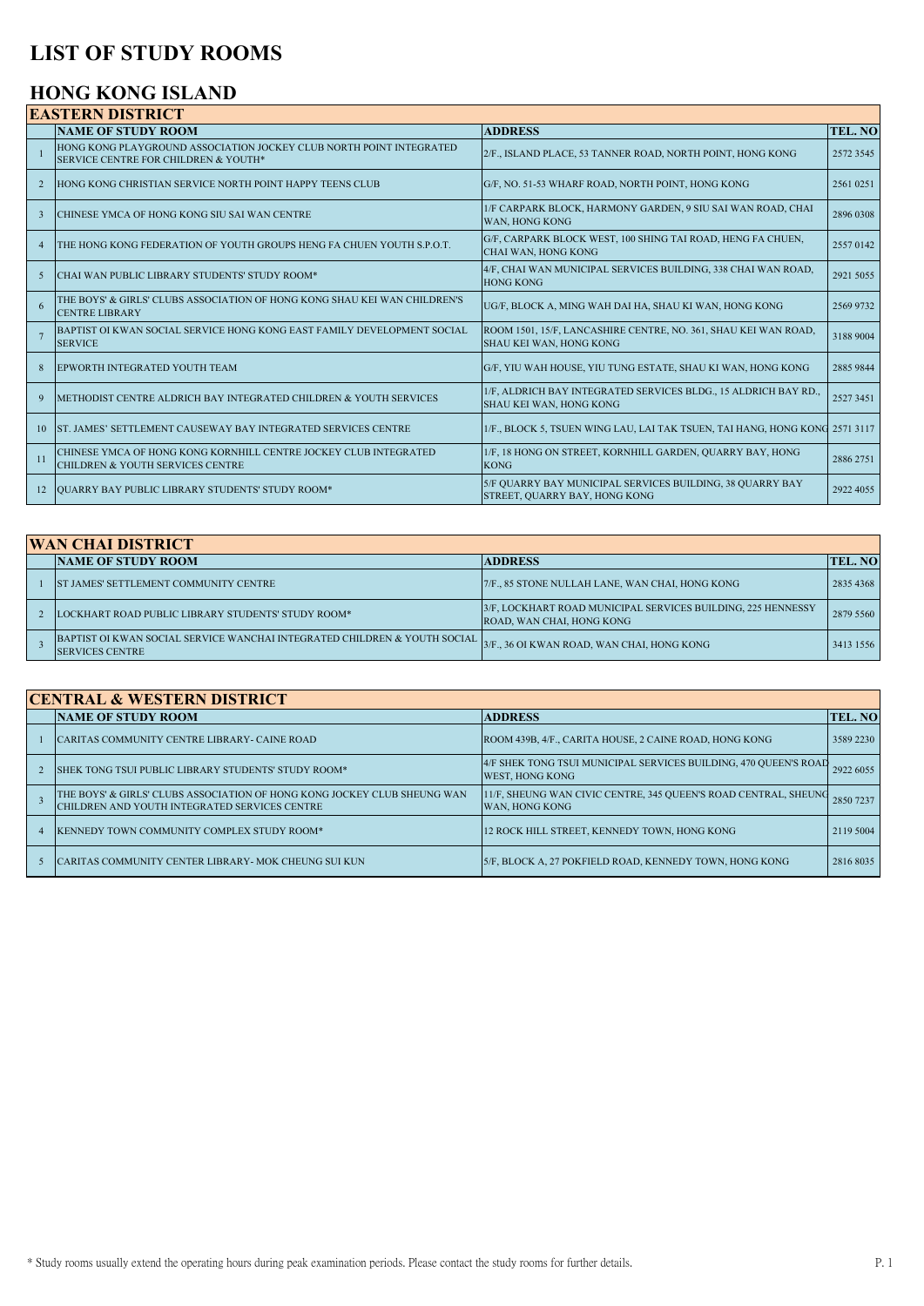# **LIST OF STUDY ROOMS**

### **HONG KONG ISLAND**

|                | <b>NAME OF STUDY ROOM</b>                                                                                       | <b>ADDRESS</b>                                                                                    |           |
|----------------|-----------------------------------------------------------------------------------------------------------------|---------------------------------------------------------------------------------------------------|-----------|
|                |                                                                                                                 |                                                                                                   | TEL. NO   |
| $\overline{1}$ | HONG KONG PLAYGROUND ASSOCIATION JOCKEY CLUB NORTH POINT INTEGRATED<br>SERVICE CENTRE FOR CHILDREN & YOUTH*     | 2/F., ISLAND PLACE, 53 TANNER ROAD, NORTH POINT, HONG KONG                                        | 2572 3545 |
| $\overline{2}$ | HONG KONG CHRISTIAN SERVICE NORTH POINT HAPPY TEENS CLUB                                                        | G/F, NO. 51-53 WHARF ROAD, NORTH POINT, HONG KONG                                                 | 2561 0251 |
| $\overline{3}$ | CHINESE YMCA OF HONG KONG SIU SAI WAN CENTRE                                                                    | 1/F CARPARK BLOCK, HARMONY GARDEN, 9 SIU SAI WAN ROAD, CHAI<br>WAN, HONG KONG                     | 2896 0308 |
| $\overline{4}$ | THE HONG KONG FEDERATION OF YOUTH GROUPS HENG FA CHUEN YOUTH S.P.O.T.                                           | G/F, CARPARK BLOCK WEST, 100 SHING TAI ROAD, HENG FA CHUEN,<br>CHAI WAN, HONG KONG                | 2557 0142 |
| $\overline{5}$ | CHAI WAN PUBLIC LIBRARY STUDENTS' STUDY ROOM*                                                                   | 4/F, CHAI WAN MUNICIPAL SERVICES BUILDING, 338 CHAI WAN ROAD,<br><b>HONG KONG</b>                 | 2921 5055 |
| 6              | THE BOYS' & GIRLS' CLUBS ASSOCIATION OF HONG KONG SHAU KEI WAN CHILDREN'S<br><b>CENTRE LIBRARY</b>              | UG/F, BLOCK A, MING WAH DAI HA, SHAU KI WAN, HONG KONG                                            | 2569 9732 |
|                | BAPTIST OI KWAN SOCIAL SERVICE HONG KONG EAST FAMILY DEVELOPMENT SOCIAL<br><b>SERVICE</b>                       | ROOM 1501, 15/F, LANCASHIRE CENTRE, NO. 361, SHAU KEI WAN ROAD,<br><b>SHAU KEI WAN. HONG KONG</b> | 3188 9004 |
| 8              | EPWORTH INTEGRATED YOUTH TEAM                                                                                   | G/F, YIU WAH HOUSE, YIU TUNG ESTATE, SHAU KI WAN, HONG KONG                                       | 2885 9844 |
| $\mathbf{Q}$   | METHODIST CENTRE ALDRICH BAY INTEGRATED CHILDREN & YOUTH SERVICES                                               | 1/F, ALDRICH BAY INTEGRATED SERVICES BLDG., 15 ALDRICH BAY RD.,<br>SHAU KEI WAN, HONG KONG        | 2527 3451 |
| 10             | ST. JAMES' SETTLEMENT CAUSEWAY BAY INTEGRATED SERVICES CENTRE                                                   | 1/F., BLOCK 5, TSUEN WING LAU, LAI TAK TSUEN, TAI HANG, HONG KONG 2571 3117                       |           |
| 11             | CHINESE YMCA OF HONG KONG KORNHILL CENTRE JOCKEY CLUB INTEGRATED<br><b>CHILDREN &amp; YOUTH SERVICES CENTRE</b> | 1/F, 18 HONG ON STREET, KORNHILL GARDEN, QUARRY BAY, HONG<br><b>KONG</b>                          | 2886 2751 |
| 12             | OUARRY BAY PUBLIC LIBRARY STUDENTS' STUDY ROOM*                                                                 | 5/F OUARRY BAY MUNICIPAL SERVICES BUILDING, 38 OUARRY BAY<br>STREET, QUARRY BAY, HONG KONG        | 2922 4055 |

| <b>WAN CHAI DISTRICT</b> |                                                                                                                                              |                                                                                           |           |  |  |
|--------------------------|----------------------------------------------------------------------------------------------------------------------------------------------|-------------------------------------------------------------------------------------------|-----------|--|--|
|                          | <b>NAME OF STUDY ROOM</b>                                                                                                                    | <b>ADDRESS</b>                                                                            | TEL. NO   |  |  |
|                          | <b>IST JAMES' SETTLEMENT COMMUNITY CENTRE</b>                                                                                                | 7/F., 85 STONE NULLAH LANE, WAN CHAI, HONG KONG                                           | 2835 4368 |  |  |
|                          | LOCKHART ROAD PUBLIC LIBRARY STUDENTS' STUDY ROOM*                                                                                           | 3/F, LOCKHART ROAD MUNICIPAL SERVICES BUILDING, 225 HENNESSY<br>ROAD, WAN CHAI, HONG KONG | 2879 5560 |  |  |
|                          | BAPTIST OI KWAN SOCIAL SERVICE WANCHAI INTEGRATED CHILDREN & YOUTH SOCIAL 3F, 36 OI KWAN ROAD, WAN CHAI, HONG KONG<br><b>SERVICES CENTRE</b> |                                                                                           | 3413 1556 |  |  |

#### **CENTRAL & WESTERN DISTRICT**

|  |  | <b>NAME OF STUDY ROOM</b>                                                                                                 | <b>ADDRESS</b>                                                                      | TEL. NO   |
|--|--|---------------------------------------------------------------------------------------------------------------------------|-------------------------------------------------------------------------------------|-----------|
|  |  | CARITAS COMMUNITY CENTRE LIBRARY- CAINE ROAD                                                                              | ROOM 439B, 4/F., CARITA HOUSE, 2 CAINE ROAD, HONG KONG                              | 3589 2230 |
|  |  | SHEK TONG TSUI PUBLIC LIBRARY STUDENTS' STUDY ROOM*                                                                       | 4/F SHEK TONG TSUI MUNICIPAL SERVICES BUILDING, 470 QUEEN'S ROAD<br>WEST, HONG KONG | 2922 6055 |
|  |  | THE BOYS' & GIRLS' CLUBS ASSOCIATION OF HONG KONG JOCKEY CLUB SHEUNG WAN<br>CHILDREN AND YOUTH INTEGRATED SERVICES CENTRE | 11/F, SHEUNG WAN CIVIC CENTRE, 345 QUEEN'S ROAD CENTRAL, SHEUNG<br>WAN, HONG KONG   | 2850 7237 |
|  |  | KENNEDY TOWN COMMUNITY COMPLEX STUDY ROOM*                                                                                | 12 ROCK HILL STREET, KENNEDY TOWN, HONG KONG                                        | 2119 5004 |
|  |  | CARITAS COMMUNITY CENTER LIBRARY - MOK CHEUNG SUI KUN                                                                     | 5/F, BLOCK A, 27 POKFIELD ROAD, KENNEDY TOWN, HONG KONG                             | 2816 8035 |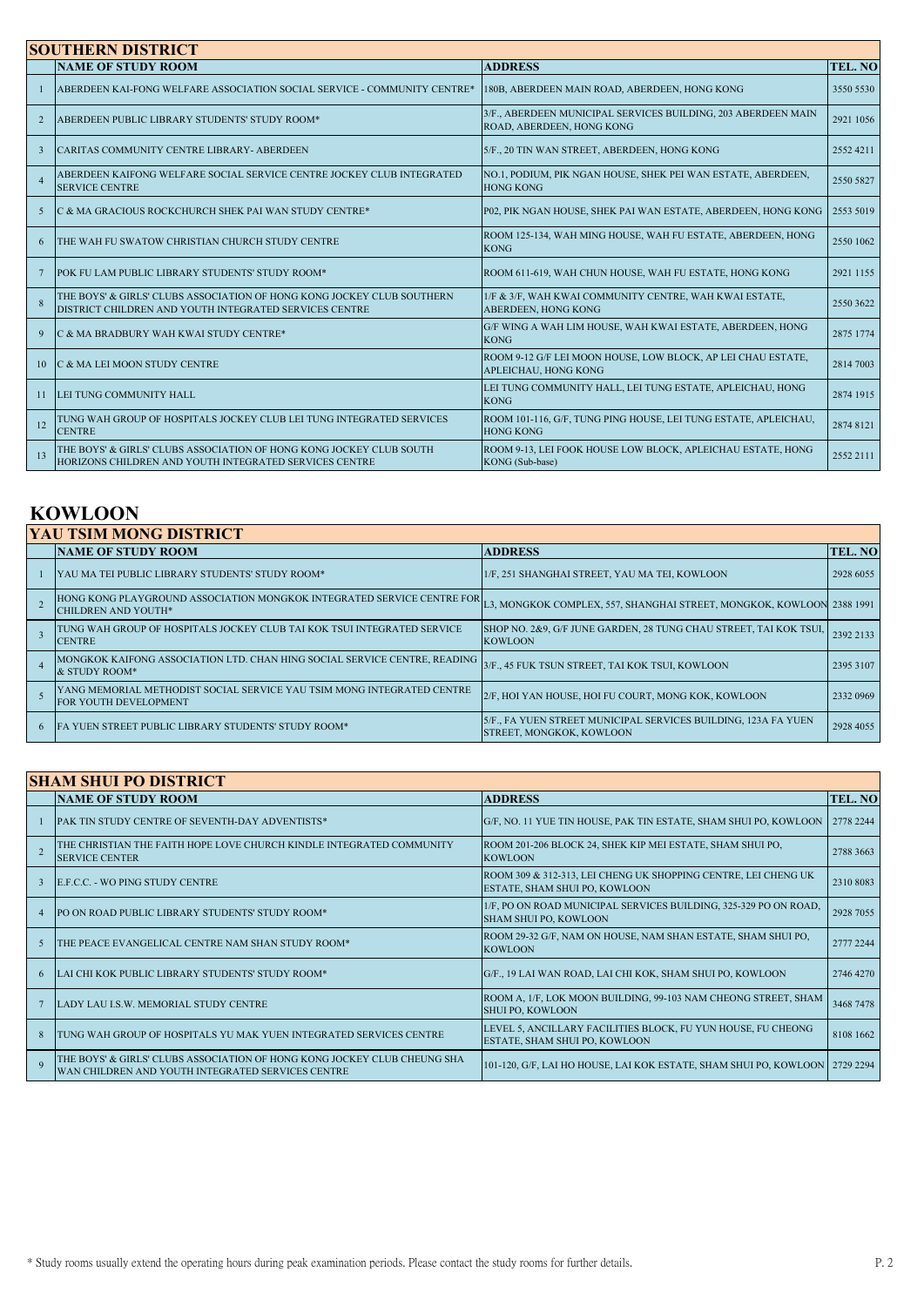| <b>SOUTHERN DISTRICT</b> |                                                                                                                                  |                                                                                            |                |  |
|--------------------------|----------------------------------------------------------------------------------------------------------------------------------|--------------------------------------------------------------------------------------------|----------------|--|
|                          | <b>NAME OF STUDY ROOM</b>                                                                                                        | <b>ADDRESS</b>                                                                             | <b>TEL. NO</b> |  |
|                          | ABERDEEN KAI-FONG WELFARE ASSOCIATION SOCIAL SERVICE - COMMUNITY CENTRE*                                                         | 180B, ABERDEEN MAIN ROAD, ABERDEEN, HONG KONG                                              | 3550 5530      |  |
| $\overline{2}$           | ABERDEEN PUBLIC LIBRARY STUDENTS' STUDY ROOM*                                                                                    | 3/F., ABERDEEN MUNICIPAL SERVICES BUILDING, 203 ABERDEEN MAIN<br>ROAD, ABERDEEN, HONG KONG | 2921 1056      |  |
| $\overline{3}$           | CARITAS COMMUNITY CENTRE LIBRARY- ABERDEEN                                                                                       | 5/F., 20 TIN WAN STREET, ABERDEEN, HONG KONG                                               | 25524211       |  |
| $\overline{4}$           | ABERDEEN KAIFONG WELFARE SOCIAL SERVICE CENTRE JOCKEY CLUB INTEGRATED<br><b>SERVICE CENTRE</b>                                   | NO.1, PODIUM, PIK NGAN HOUSE, SHEK PEI WAN ESTATE, ABERDEEN,<br><b>HONG KONG</b>           | 2550 5827      |  |
| 5                        | C & MA GRACIOUS ROCKCHURCH SHEK PAI WAN STUDY CENTRE*                                                                            | P02, PIK NGAN HOUSE, SHEK PAI WAN ESTATE, ABERDEEN, HONG KONG                              | 2553 5019      |  |
| 6                        | THE WAH FU SWATOW CHRISTIAN CHURCH STUDY CENTRE                                                                                  | ROOM 125-134, WAH MING HOUSE, WAH FU ESTATE, ABERDEEN, HONG<br><b>KONG</b>                 | 2550 1062      |  |
|                          | POK FU LAM PUBLIC LIBRARY STUDENTS' STUDY ROOM*                                                                                  | ROOM 611-619, WAH CHUN HOUSE, WAH FU ESTATE, HONG KONG                                     | 2921 1155      |  |
| $\mathbf{8}$             | THE BOYS' & GIRLS' CLUBS ASSOCIATION OF HONG KONG JOCKEY CLUB SOUTHERN<br>DISTRICT CHILDREN AND YOUTH INTEGRATED SERVICES CENTRE | 1/F & 3/F, WAH KWAI COMMUNITY CENTRE, WAH KWAI ESTATE,<br>ABERDEEN, HONG KONG              | 2550 3622      |  |
| 9                        | C & MA BRADBURY WAH KWAI STUDY CENTRE*                                                                                           | G/F WING A WAH LIM HOUSE, WAH KWAI ESTATE, ABERDEEN, HONG<br><b>KONG</b>                   | 2875 1774      |  |
| 10                       | C & MA LEI MOON STUDY CENTRE                                                                                                     | ROOM 9-12 G/F LEI MOON HOUSE, LOW BLOCK, AP LEI CHAU ESTATE,<br>APLEICHAU, HONG KONG       | 2814 7003      |  |
| 11                       | LEI TUNG COMMUNITY HALL                                                                                                          | LEI TUNG COMMUNITY HALL, LEI TUNG ESTATE, APLEICHAU, HONG<br><b>KONG</b>                   | 2874 1915      |  |
| 12                       | TUNG WAH GROUP OF HOSPITALS JOCKEY CLUB LEI TUNG INTEGRATED SERVICES<br><b>CENTRE</b>                                            | ROOM 101-116, G/F, TUNG PING HOUSE, LEI TUNG ESTATE, APLEICHAU,<br><b>HONG KONG</b>        | 2874 8121      |  |
| 13                       | THE BOYS' & GIRLS' CLUBS ASSOCIATION OF HONG KONG JOCKEY CLUB SOUTH<br>HORIZONS CHILDREN AND YOUTH INTEGRATED SERVICES CENTRE    | ROOM 9-13, LEI FOOK HOUSE LOW BLOCK, APLEICHAU ESTATE, HONG<br>KONG (Sub-base)             | 2552 2111      |  |

## **KOWLOON**

| IYAU TSIM MONG DISTRICT                                                                                 |                                                                                            |           |  |  |
|---------------------------------------------------------------------------------------------------------|--------------------------------------------------------------------------------------------|-----------|--|--|
| <b>NAME OF STUDY ROOM</b>                                                                               | <b>ADDRESS</b>                                                                             | TEL. NO   |  |  |
| <b>IYAU MA TEI PUBLIC LIBRARY STUDENTS' STUDY ROOM*</b>                                                 | 1/F, 251 SHANGHAI STREET, YAU MA TEI, KOWLOON                                              | 2928 6055 |  |  |
| HONG KONG PLAYGROUND ASSOCIATION MONGKOK INTEGRATED SERVICE CENTRE FOR L<br><b>CHILDREN AND YOUTH*</b>  | L3, MONGKOK COMPLEX, 557, SHANGHAI STREET, MONGKOK, KOWLOON 2388 1991                      |           |  |  |
| TUNG WAH GROUP OF HOSPITALS JOCKEY CLUB TAI KOK TSUI INTEGRATED SERVICE<br><b>CENTRE</b>                | SHOP NO. 2&9, G/F JUNE GARDEN, 28 TUNG CHAU STREET, TAI KOK TSUI,<br><b>KOWLOON</b>        | 2392 2133 |  |  |
| MONGKOK KAIFONG ASSOCIATION LTD. CHAN HING SOCIAL SERVICE CENTRE, READING<br>& STUDY ROOM*              | 3/F., 45 FUK TSUN STREET, TAI KOK TSUI, KOWLOON                                            | 2395 3107 |  |  |
| IYANG MEMORIAL METHODIST SOCIAL SERVICE YAU TSIM MONG INTEGRATED CENTRE<br><b>FOR YOUTH DEVELOPMENT</b> | 2/F, HOI YAN HOUSE, HOI FU COURT, MONG KOK, KOWLOON                                        | 2332 0969 |  |  |
| <b>IFA YUEN STREET PUBLIC LIBRARY STUDENTS' STUDY ROOM*</b>                                             | 5/F., FA YUEN STREET MUNICIPAL SERVICES BUILDING, 123A FA YUEN<br>STREET, MONGKOK, KOWLOON | 2928 4055 |  |  |

| <b>SHAM SHUI PO DISTRICT</b> |                                                                                                                               |                                                                                                  |           |  |  |
|------------------------------|-------------------------------------------------------------------------------------------------------------------------------|--------------------------------------------------------------------------------------------------|-----------|--|--|
|                              | <b>NAME OF STUDY ROOM</b>                                                                                                     | <b>ADDRESS</b>                                                                                   | TEL. NO   |  |  |
|                              | <b>PAK TIN STUDY CENTRE OF SEVENTH-DAY ADVENTISTS*</b>                                                                        | G/F, NO. 11 YUE TIN HOUSE, PAK TIN ESTATE, SHAM SHUI PO, KOWLOON                                 | 2778 2244 |  |  |
|                              | THE CHRISTIAN THE FAITH HOPE LOVE CHURCH KINDLE INTEGRATED COMMUNITY<br><b>SERVICE CENTER</b>                                 | ROOM 201-206 BLOCK 24, SHEK KIP MEI ESTATE, SHAM SHUI PO,<br><b>KOWLOON</b>                      | 2788 3663 |  |  |
|                              | E.F.C.C. - WO PING STUDY CENTRE                                                                                               | ROOM 309 & 312-313, LEI CHENG UK SHOPPING CENTRE, LEI CHENG UK<br>ESTATE, SHAM SHUI PO, KOWLOON  | 2310 8083 |  |  |
| $\overline{4}$               | PO ON ROAD PUBLIC LIBRARY STUDENTS' STUDY ROOM*                                                                               | 1/F, PO ON ROAD MUNICIPAL SERVICES BUILDING, 325-329 PO ON ROAD,<br><b>SHAM SHUI PO. KOWLOON</b> | 2928 7055 |  |  |
|                              | THE PEACE EVANGELICAL CENTRE NAM SHAN STUDY ROOM*                                                                             | ROOM 29-32 G/F, NAM ON HOUSE, NAM SHAN ESTATE, SHAM SHUI PO,<br><b>KOWLOON</b>                   | 2777 2244 |  |  |
| 6                            | LAI CHI KOK PUBLIC LIBRARY STUDENTS' STUDY ROOM*                                                                              | G/F., 19 LAI WAN ROAD, LAI CHI KOK, SHAM SHUI PO, KOWLOON                                        | 2746 4270 |  |  |
|                              | LADY LAU I.S.W. MEMORIAL STUDY CENTRE                                                                                         | ROOM A, 1/F, LOK MOON BUILDING, 99-103 NAM CHEONG STREET, SHAM<br><b>SHUI PO, KOWLOON</b>        | 3468 7478 |  |  |
| $\mathbf{R}$                 | TUNG WAH GROUP OF HOSPITALS YU MAK YUEN INTEGRATED SERVICES CENTRE                                                            | LEVEL 5, ANCILLARY FACILITIES BLOCK, FU YUN HOUSE, FU CHEONG<br>ESTATE, SHAM SHUI PO, KOWLOON    | 8108 1662 |  |  |
| $\mathbf Q$                  | THE BOYS' & GIRLS' CLUBS ASSOCIATION OF HONG KONG JOCKEY CLUB CHEUNG SHA<br>WAN CHILDREN AND YOUTH INTEGRATED SERVICES CENTRE | 101-120, G/F, LAI HO HOUSE, LAI KOK ESTATE, SHAM SHUI PO, KOWLOON 2729 2294                      |           |  |  |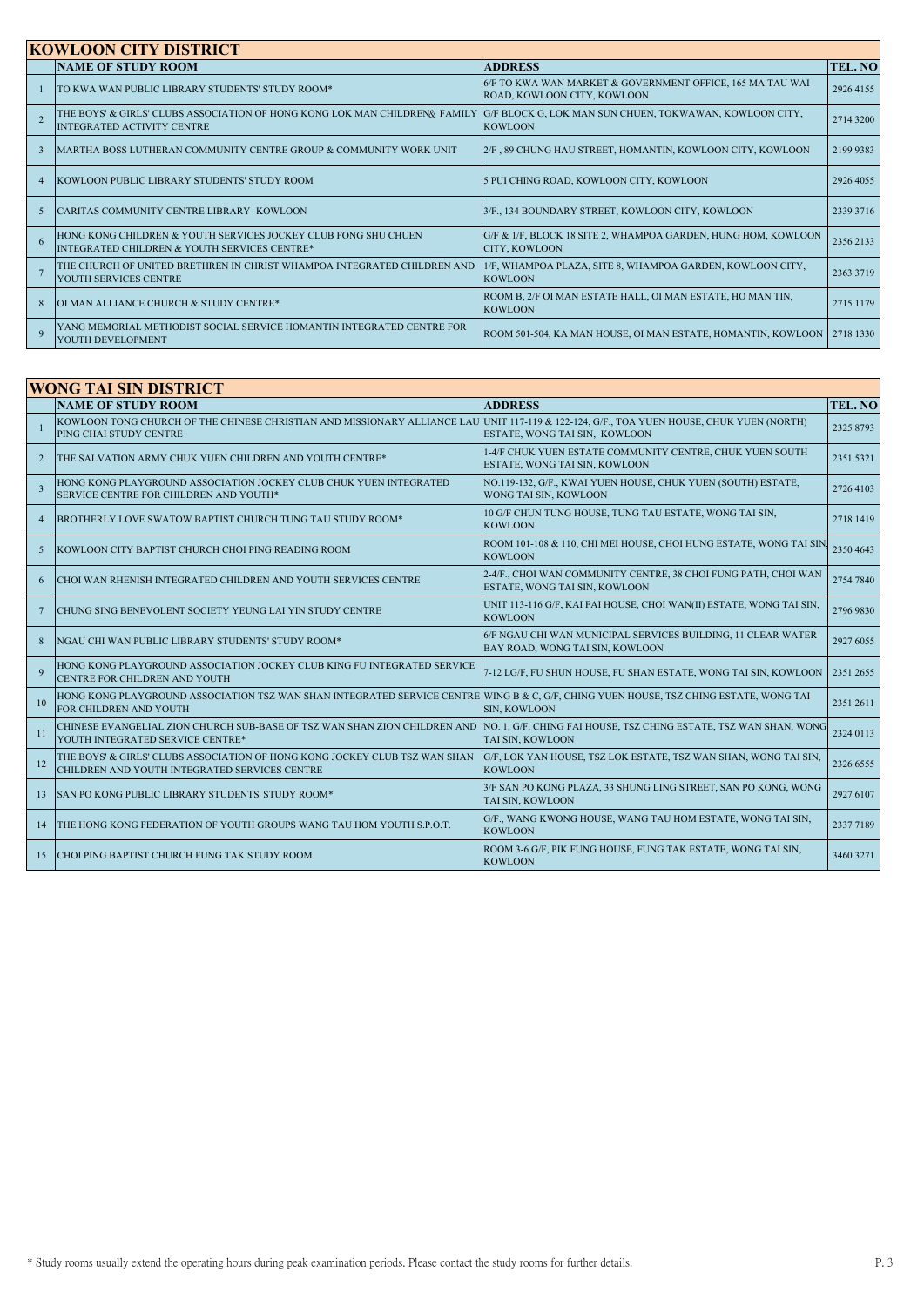|                | <b>KOWLOON CITY DISTRICT</b>                                                                                    |                                                                                          |           |  |  |
|----------------|-----------------------------------------------------------------------------------------------------------------|------------------------------------------------------------------------------------------|-----------|--|--|
|                | <b>NAME OF STUDY ROOM</b>                                                                                       | <b>ADDRESS</b>                                                                           | TEL. NO   |  |  |
|                | TO KWA WAN PUBLIC LIBRARY STUDENTS' STUDY ROOM*                                                                 | 6/F TO KWA WAN MARKET & GOVERNMENT OFFICE, 165 MA TAU WAI<br>ROAD, KOWLOON CITY, KOWLOON | 2926 4155 |  |  |
|                | THE BOYS' & GIRLS' CLUBS ASSOCIATION OF HONG KONG LOK MAN CHILDREN& FAMILY<br><b>INTEGRATED ACTIVITY CENTRE</b> | G/F BLOCK G, LOK MAN SUN CHUEN, TOKWAWAN, KOWLOON CITY,<br><b>KOWLOON</b>                | 2714 3200 |  |  |
|                | MARTHA BOSS LUTHERAN COMMUNITY CENTRE GROUP & COMMUNITY WORK UNIT                                               | 2/F, 89 CHUNG HAU STREET, HOMANTIN, KOWLOON CITY, KOWLOON                                | 2199 9383 |  |  |
| $\overline{4}$ | <b>KOWLOON PUBLIC LIBRARY STUDENTS' STUDY ROOM</b>                                                              | 5 PUI CHING ROAD, KOWLOON CITY, KOWLOON                                                  | 2926 4055 |  |  |
|                | CARITAS COMMUNITY CENTRE LIBRARY-KOWLOON                                                                        | 3/F., 134 BOUNDARY STREET, KOWLOON CITY, KOWLOON                                         | 2339 3716 |  |  |
| 6              | HONG KONG CHILDREN & YOUTH SERVICES JOCKEY CLUB FONG SHU CHUEN<br>INTEGRATED CHILDREN & YOUTH SERVICES CENTRE*  | G/F & 1/F, BLOCK 18 SITE 2, WHAMPOA GARDEN, HUNG HOM, KOWLOON<br>CITY, KOWLOON           | 2356 2133 |  |  |
|                | THE CHURCH OF UNITED BRETHREN IN CHRIST WHAMPOA INTEGRATED CHILDREN AND<br>YOUTH SERVICES CENTRE                | 1/F, WHAMPOA PLAZA, SITE 8, WHAMPOA GARDEN, KOWLOON CITY,<br><b>KOWLOON</b>              | 2363 3719 |  |  |
|                | OI MAN ALLIANCE CHURCH & STUDY CENTRE*                                                                          | ROOM B, 2/F OI MAN ESTATE HALL, OI MAN ESTATE, HO MAN TIN,<br><b>KOWLOON</b>             | 2715 1179 |  |  |
| $\mathbf Q$    | YANG MEMORIAL METHODIST SOCIAL SERVICE HOMANTIN INTEGRATED CENTRE FOR<br>YOUTH DEVELOPMENT                      | ROOM 501-504, KA MAN HOUSE, OI MAN ESTATE, HOMANTIN, KOWLOON 2718 1330                   |           |  |  |

| <b>WONG TAI SIN DISTRICT</b> |                                                                                                                                                                    |                                                                                                 |                |  |
|------------------------------|--------------------------------------------------------------------------------------------------------------------------------------------------------------------|-------------------------------------------------------------------------------------------------|----------------|--|
|                              | <b>NAME OF STUDY ROOM</b>                                                                                                                                          | <b>ADDRESS</b>                                                                                  | <b>TEL. NO</b> |  |
|                              | KOWLOON TONG CHURCH OF THE CHINESE CHRISTIAN AND MISSIONARY ALLIANCE LAU UNIT 117-119 & 122-124, G/F., TOA YUEN HOUSE, CHUK YUEN (NORTH)<br>PING CHAI STUDY CENTRE | ESTATE, WONG TAI SIN, KOWLOON                                                                   | 2325 8793      |  |
| $\overline{2}$               | THE SALVATION ARMY CHUK YUEN CHILDREN AND YOUTH CENTRE*                                                                                                            | 1-4/F CHUK YUEN ESTATE COMMUNITY CENTRE, CHUK YUEN SOUTH<br>ESTATE, WONG TAI SIN, KOWLOON       | 2351 5321      |  |
| $\overline{3}$               | HONG KONG PLAYGROUND ASSOCIATION JOCKEY CLUB CHUK YUEN INTEGRATED<br>SERVICE CENTRE FOR CHILDREN AND YOUTH*                                                        | NO.119-132, G/F., KWAI YUEN HOUSE, CHUK YUEN (SOUTH) ESTATE,<br>WONG TAI SIN, KOWLOON           | 2726 4103      |  |
| $\overline{4}$               | BROTHERLY LOVE SWATOW BAPTIST CHURCH TUNG TAU STUDY ROOM*                                                                                                          | 10 G/F CHUN TUNG HOUSE, TUNG TAU ESTATE, WONG TAI SIN,<br><b>KOWLOON</b>                        | 2718 1419      |  |
| 5                            | KOWLOON CITY BAPTIST CHURCH CHOI PING READING ROOM                                                                                                                 | ROOM 101-108 & 110, CHI MEI HOUSE, CHOI HUNG ESTATE, WONG TAI SIN<br><b>KOWLOON</b>             | 2350 4643      |  |
| 6                            | CHOI WAN RHENISH INTEGRATED CHILDREN AND YOUTH SERVICES CENTRE                                                                                                     | 2-4/F., CHOI WAN COMMUNITY CENTRE, 38 CHOI FUNG PATH, CHOI WAN<br>ESTATE, WONG TAI SIN, KOWLOON | 2754 7840      |  |
| 7                            | CHUNG SING BENEVOLENT SOCIETY YEUNG LAI YIN STUDY CENTRE                                                                                                           | UNIT 113-116 G/F, KAI FAI HOUSE, CHOI WAN(II) ESTATE, WONG TAI SIN,<br><b>KOWLOON</b>           | 2796 9830      |  |
| 8                            | NGAU CHI WAN PUBLIC LIBRARY STUDENTS' STUDY ROOM*                                                                                                                  | 6/F NGAU CHI WAN MUNICIPAL SERVICES BUILDING, 11 CLEAR WATER<br>BAY ROAD, WONG TAI SIN, KOWLOON | 2927 6055      |  |
| $\mathbf{Q}$                 | HONG KONG PLAYGROUND ASSOCIATION JOCKEY CLUB KING FU INTEGRATED SERVICE<br>CENTRE FOR CHILDREN AND YOUTH                                                           | 7-12 LG/F, FU SHUN HOUSE, FU SHAN ESTATE, WONG TAI SIN, KOWLOON                                 | 2351 2655      |  |
| 10                           | HONG KONG PLAYGROUND ASSOCIATION TSZ WAN SHAN INTEGRATED SERVICE CENTRE<br>FOR CHILDREN AND YOUTH                                                                  | WING B & C, G/F, CHING YUEN HOUSE, TSZ CHING ESTATE, WONG TAI<br>SIN, KOWLOON                   | 2351 2611      |  |
| 11                           | CHINESE EVANGELIAL ZION CHURCH SUB-BASE OF TSZ WAN SHAN ZION CHILDREN AND<br>YOUTH INTEGRATED SERVICE CENTRE*                                                      | NO. 1, G/F, CHING FAI HOUSE, TSZ CHING ESTATE, TSZ WAN SHAN, WONG<br>TAI SIN, KOWLOON           | 2324 0113      |  |
| 12                           | THE BOYS' & GIRLS' CLUBS ASSOCIATION OF HONG KONG JOCKEY CLUB TSZ WAN SHAN<br>CHILDREN AND YOUTH INTEGRATED SERVICES CENTRE                                        | G/F, LOK YAN HOUSE, TSZ LOK ESTATE, TSZ WAN SHAN, WONG TAI SIN,<br><b>KOWLOON</b>               | 2326 6555      |  |
| 13                           | <b>SAN PO KONG PUBLIC LIBRARY STUDENTS' STUDY ROOM*</b>                                                                                                            | 3/F SAN PO KONG PLAZA, 33 SHUNG LING STREET, SAN PO KONG, WONG<br>TAI SIN, KOWLOON              | 2927 6107      |  |
| 14                           | THE HONG KONG FEDERATION OF YOUTH GROUPS WANG TAU HOM YOUTH S.P.O.T.                                                                                               | G/F., WANG KWONG HOUSE, WANG TAU HOM ESTATE, WONG TAI SIN,<br><b>KOWLOON</b>                    | 2337 7189      |  |
| 15                           | CHOI PING BAPTIST CHURCH FUNG TAK STUDY ROOM                                                                                                                       | ROOM 3-6 G/F, PIK FUNG HOUSE, FUNG TAK ESTATE, WONG TAI SIN,<br><b>KOWLOON</b>                  | 3460 3271      |  |
|                              |                                                                                                                                                                    |                                                                                                 |                |  |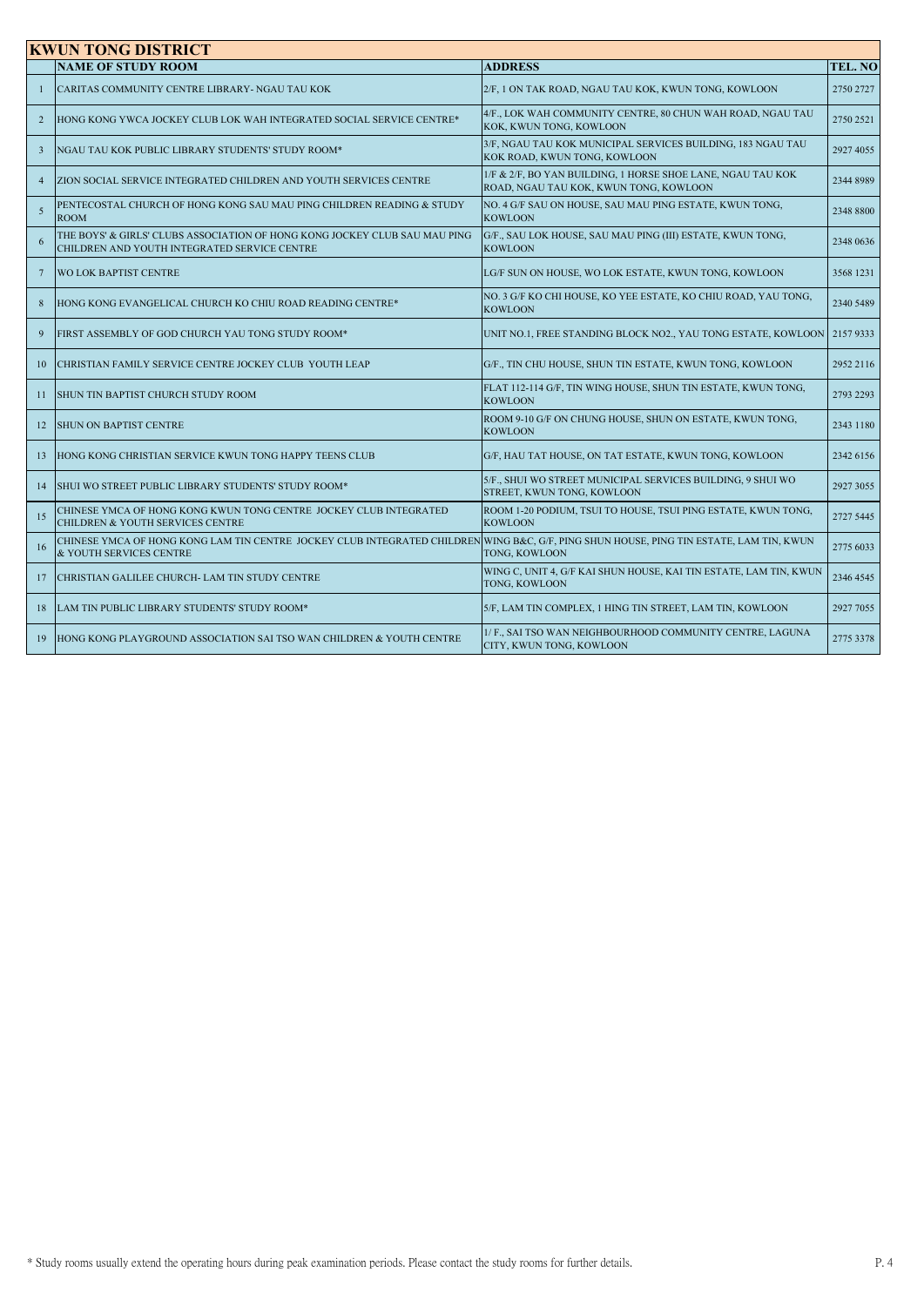|                 | <b>KWUN TONG DISTRICT</b>                                                                                                                                          |                                                                                                       |           |  |
|-----------------|--------------------------------------------------------------------------------------------------------------------------------------------------------------------|-------------------------------------------------------------------------------------------------------|-----------|--|
|                 | <b>NAME OF STUDY ROOM</b>                                                                                                                                          | <b>ADDRESS</b>                                                                                        | TEL. NO   |  |
|                 | CARITAS COMMUNITY CENTRE LIBRARY- NGAU TAU KOK                                                                                                                     | 2/F, 1 ON TAK ROAD, NGAU TAU KOK, KWUN TONG, KOWLOON                                                  | 2750 2727 |  |
| $\overline{2}$  | HONG KONG YWCA JOCKEY CLUB LOK WAH INTEGRATED SOCIAL SERVICE CENTRE*                                                                                               | 4/F., LOK WAH COMMUNITY CENTRE, 80 CHUN WAH ROAD, NGAU TAU<br>KOK, KWUN TONG, KOWLOON                 | 2750 2521 |  |
| $\overline{3}$  | NGAU TAU KOK PUBLIC LIBRARY STUDENTS' STUDY ROOM*                                                                                                                  | 3/F, NGAU TAU KOK MUNICIPAL SERVICES BUILDING, 183 NGAU TAU<br>KOK ROAD, KWUN TONG, KOWLOON           | 2927 4055 |  |
| $\overline{4}$  | ZION SOCIAL SERVICE INTEGRATED CHILDREN AND YOUTH SERVICES CENTRE                                                                                                  | 1/F & 2/F, BO YAN BUILDING, 1 HORSE SHOE LANE, NGAU TAU KOK<br>ROAD, NGAU TAU KOK, KWUN TONG, KOWLOON | 2344 8989 |  |
| $\overline{5}$  | PENTECOSTAL CHURCH OF HONG KONG SAU MAU PING CHILDREN READING & STUDY<br><b>ROOM</b>                                                                               | NO. 4 G/F SAU ON HOUSE, SAU MAU PING ESTATE, KWUN TONG,<br><b>KOWLOON</b>                             | 2348 8800 |  |
| 6               | THE BOYS' & GIRLS' CLUBS ASSOCIATION OF HONG KONG JOCKEY CLUB SAU MAU PING<br>CHILDREN AND YOUTH INTEGRATED SERVICE CENTRE                                         | G/F., SAU LOK HOUSE, SAU MAU PING (III) ESTATE, KWUN TONG,<br><b>KOWLOON</b>                          | 2348 0636 |  |
| $7\phantom{.0}$ | <b>WO LOK BAPTIST CENTRE</b>                                                                                                                                       | LG/F SUN ON HOUSE, WO LOK ESTATE, KWUN TONG, KOWLOON                                                  | 3568 1231 |  |
| 8               | HONG KONG EVANGELICAL CHURCH KO CHIU ROAD READING CENTRE*                                                                                                          | NO. 3 G/F KO CHI HOUSE, KO YEE ESTATE, KO CHIU ROAD, YAU TONG,<br><b>KOWLOON</b>                      | 2340 5489 |  |
| 9               | FIRST ASSEMBLY OF GOD CHURCH YAU TONG STUDY ROOM*                                                                                                                  | UNIT NO.1, FREE STANDING BLOCK NO2., YAU TONG ESTATE, KOWLOON                                         | 21579333  |  |
| 10              | CHRISTIAN FAMILY SERVICE CENTRE JOCKEY CLUB YOUTH LEAP                                                                                                             | G/F., TIN CHU HOUSE, SHUN TIN ESTATE, KWUN TONG, KOWLOON                                              | 2952 2116 |  |
| 11              | SHUN TIN BAPTIST CHURCH STUDY ROOM                                                                                                                                 | FLAT 112-114 G/F, TIN WING HOUSE, SHUN TIN ESTATE, KWUN TONG,<br><b>KOWLOON</b>                       | 2793 2293 |  |
| 12              | <b>SHUN ON BAPTIST CENTRE</b>                                                                                                                                      | ROOM 9-10 G/F ON CHUNG HOUSE, SHUN ON ESTATE, KWUN TONG,<br><b>KOWLOON</b>                            | 2343 1180 |  |
| 13              | HONG KONG CHRISTIAN SERVICE KWUN TONG HAPPY TEENS CLUB                                                                                                             | G/F, HAU TAT HOUSE, ON TAT ESTATE, KWUN TONG, KOWLOON                                                 | 2342 6156 |  |
| 14              | SHUI WO STREET PUBLIC LIBRARY STUDENTS' STUDY ROOM*                                                                                                                | 5/F., SHUI WO STREET MUNICIPAL SERVICES BUILDING, 9 SHUI WO<br>STREET, KWUN TONG, KOWLOON             | 2927 3055 |  |
| 15              | CHINESE YMCA OF HONG KONG KWUN TONG CENTRE JOCKEY CLUB INTEGRATED<br>CHILDREN & YOUTH SERVICES CENTRE                                                              | ROOM 1-20 PODIUM, TSUI TO HOUSE, TSUI PING ESTATE, KWUN TONG,<br><b>KOWLOON</b>                       | 2727 5445 |  |
| 16              | CHINESE YMCA OF HONG KONG LAM TIN CENTRE JOCKEY CLUB INTEGRATED CHILDREN WING B&C, G/F, PING SHUN HOUSE, PING TIN ESTATE, LAM TIN, KWUN<br>& YOUTH SERVICES CENTRE | <b>TONG, KOWLOON</b>                                                                                  | 2775 6033 |  |
| 17              | CHRISTIAN GALILEE CHURCH- LAM TIN STUDY CENTRE                                                                                                                     | WING C, UNIT 4, G/F KAI SHUN HOUSE, KAI TIN ESTATE, LAM TIN, KWUN<br><b>TONG, KOWLOON</b>             | 2346 4545 |  |
| 18              | LAM TIN PUBLIC LIBRARY STUDENTS' STUDY ROOM*                                                                                                                       | 5/F, LAM TIN COMPLEX, 1 HING TIN STREET, LAM TIN, KOWLOON                                             | 2927 7055 |  |
| 19              | HONG KONG PLAYGROUND ASSOCIATION SAI TSO WAN CHILDREN & YOUTH CENTRE                                                                                               | 1/ F., SAI TSO WAN NEIGHBOURHOOD COMMUNITY CENTRE, LAGUNA<br>CITY, KWUN TONG, KOWLOON                 | 2775 3378 |  |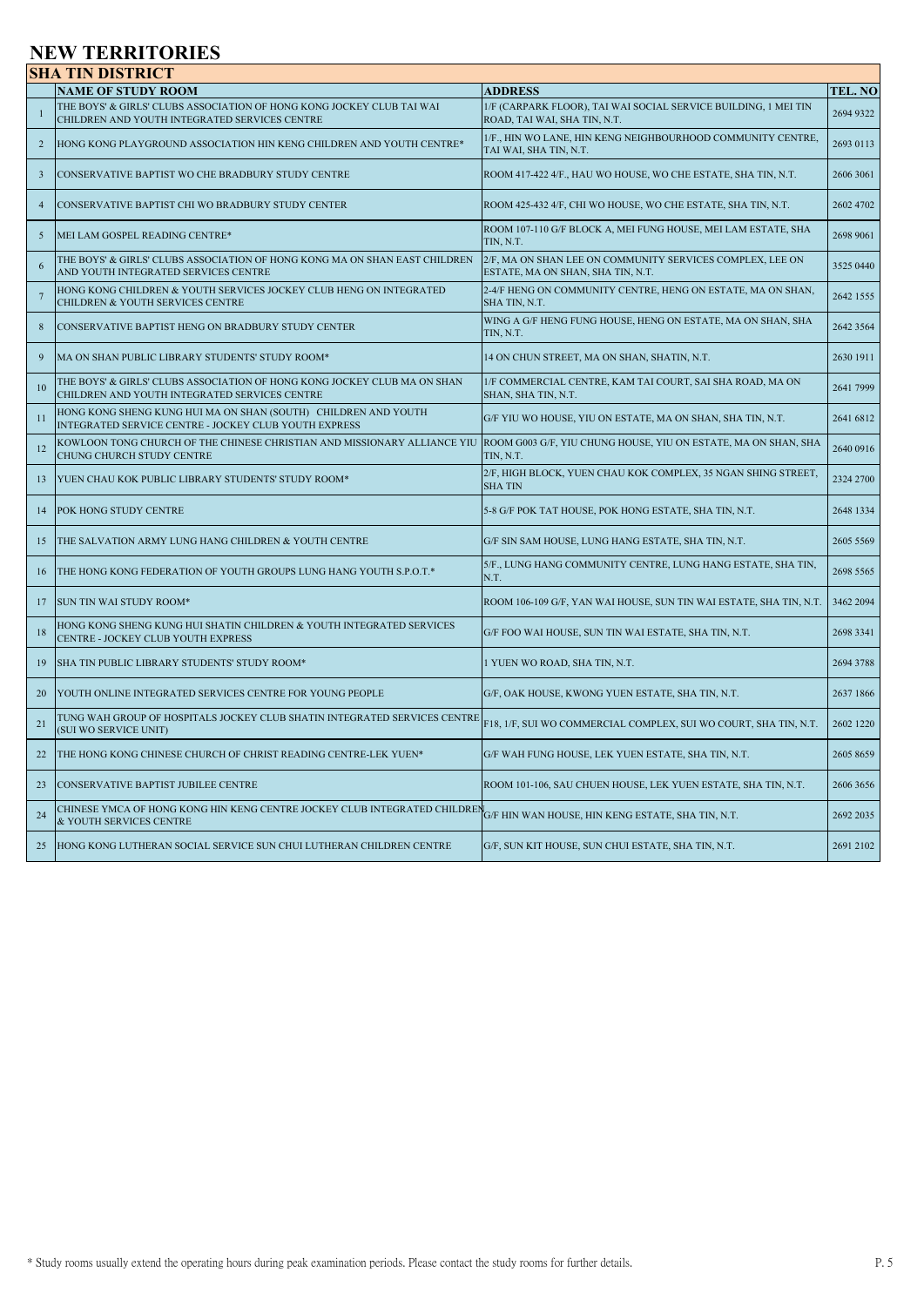## **NEW TERRITORIES**

|                         | <b>SHA TIN DISTRICT</b>                                                                                                                                               |                                                                                                 |           |
|-------------------------|-----------------------------------------------------------------------------------------------------------------------------------------------------------------------|-------------------------------------------------------------------------------------------------|-----------|
|                         | <b>NAME OF STUDY ROOM</b>                                                                                                                                             | <b>ADDRESS</b>                                                                                  | TEL. NO   |
| $\mathbf{1}$            | THE BOYS' & GIRLS' CLUBS ASSOCIATION OF HONG KONG JOCKEY CLUB TAI WAI<br>CHILDREN AND YOUTH INTEGRATED SERVICES CENTRE                                                | 1/F (CARPARK FLOOR), TAI WAI SOCIAL SERVICE BUILDING, 1 MEI TIN<br>ROAD, TAI WAI, SHA TIN, N.T. | 2694 9322 |
| 2                       | HONG KONG PLAYGROUND ASSOCIATION HIN KENG CHILDREN AND YOUTH CENTRE*                                                                                                  | 1/F., HIN WO LANE, HIN KENG NEIGHBOURHOOD COMMUNITY CENTRE,<br>TAI WAI, SHA TIN, N.T.           | 2693 0113 |
| $\overline{\mathbf{3}}$ | CONSERVATIVE BAPTIST WO CHE BRADBURY STUDY CENTRE                                                                                                                     | ROOM 417-422 4/F., HAU WO HOUSE, WO CHE ESTATE, SHA TIN, N.T.                                   | 2606 3061 |
| $\overline{4}$          | CONSERVATIVE BAPTIST CHI WO BRADBURY STUDY CENTER                                                                                                                     | ROOM 425-432 4/F, CHI WO HOUSE, WO CHE ESTATE, SHA TIN, N.T.                                    | 2602 4702 |
| 5                       | MEI LAM GOSPEL READING CENTRE*                                                                                                                                        | ROOM 107-110 G/F BLOCK A, MEI FUNG HOUSE, MEI LAM ESTATE, SHA<br>TIN, N.T.                      | 2698 9061 |
| 6                       | THE BOYS' & GIRLS' CLUBS ASSOCIATION OF HONG KONG MA ON SHAN EAST CHILDREN<br>AND YOUTH INTEGRATED SERVICES CENTRE                                                    | 2/F, MA ON SHAN LEE ON COMMUNITY SERVICES COMPLEX, LEE ON<br>ESTATE, MA ON SHAN, SHA TIN, N.T.  | 3525 0440 |
| $7\phantom{.0}$         | HONG KONG CHILDREN & YOUTH SERVICES JOCKEY CLUB HENG ON INTEGRATED<br>CHILDREN & YOUTH SERVICES CENTRE                                                                | 2-4/F HENG ON COMMUNITY CENTRE, HENG ON ESTATE, MA ON SHAN,<br>SHA TIN, N.T.                    | 2642 1555 |
| 8                       | CONSERVATIVE BAPTIST HENG ON BRADBURY STUDY CENTER                                                                                                                    | WING A G/F HENG FUNG HOUSE, HENG ON ESTATE, MA ON SHAN, SHA<br>TIN. N.T.                        | 2642 3564 |
| 9                       | MA ON SHAN PUBLIC LIBRARY STUDENTS' STUDY ROOM*                                                                                                                       | 14 ON CHUN STREET, MA ON SHAN, SHATIN, N.T.                                                     | 2630 1911 |
| 10                      | THE BOYS' & GIRLS' CLUBS ASSOCIATION OF HONG KONG JOCKEY CLUB MA ON SHAN<br>CHILDREN AND YOUTH INTEGRATED SERVICES CENTRE                                             | 1/F COMMERCIAL CENTRE, KAM TAI COURT, SAI SHA ROAD, MA ON<br>SHAN, SHA TIN, N.T.                | 2641 7999 |
| 11                      | HONG KONG SHENG KUNG HUI MA ON SHAN (SOUTH) CHILDREN AND YOUTH<br>INTEGRATED SERVICE CENTRE - JOCKEY CLUB YOUTH EXPRESS                                               | G/F YIU WO HOUSE, YIU ON ESTATE, MA ON SHAN, SHA TIN, N.T.                                      | 2641 6812 |
| 12                      | KOWLOON TONG CHURCH OF THE CHINESE CHRISTIAN AND MISSIONARY ALLIANCE YIU  ROOM G003 G/F, YIU CHUNG HOUSE, YIU ON ESTATE, MA ON SHAN, SHA<br>CHUNG CHURCH STUDY CENTRE | TIN, N.T.                                                                                       | 2640 0916 |
| 13                      | YUEN CHAU KOK PUBLIC LIBRARY STUDENTS' STUDY ROOM*                                                                                                                    | 2/F, HIGH BLOCK, YUEN CHAU KOK COMPLEX, 35 NGAN SHING STREET,<br><b>SHATIN</b>                  | 2324 2700 |
| 14                      | POK HONG STUDY CENTRE                                                                                                                                                 | 5-8 G/F POK TAT HOUSE, POK HONG ESTATE, SHA TIN, N.T.                                           | 2648 1334 |
| 15                      | THE SALVATION ARMY LUNG HANG CHILDREN & YOUTH CENTRE                                                                                                                  | G/F SIN SAM HOUSE, LUNG HANG ESTATE, SHA TIN, N.T.                                              | 2605 5569 |
| 16                      | THE HONG KONG FEDERATION OF YOUTH GROUPS LUNG HANG YOUTH S.P.O.T.*                                                                                                    | 5/F., LUNG HANG COMMUNITY CENTRE, LUNG HANG ESTATE, SHA TIN,<br>N.T.                            | 2698 5565 |
| 17                      | SUN TIN WAI STUDY ROOM*                                                                                                                                               | ROOM 106-109 G/F, YAN WAI HOUSE, SUN TIN WAI ESTATE, SHA TIN, N.T.                              | 3462 2094 |
| 18                      | HONG KONG SHENG KUNG HUI SHATIN CHILDREN & YOUTH INTEGRATED SERVICES<br>CENTRE - JOCKEY CLUB YOUTH EXPRESS                                                            | G/F FOO WAI HOUSE, SUN TIN WAI ESTATE, SHA TIN, N.T.                                            | 2698 3341 |
| 19                      | SHA TIN PUBLIC LIBRARY STUDENTS' STUDY ROOM*                                                                                                                          | 1 YUEN WO ROAD, SHA TIN, N.T.                                                                   | 2694 3788 |
| 20                      | YOUTH ONLINE INTEGRATED SERVICES CENTRE FOR YOUNG PEOPLE                                                                                                              | G/F, OAK HOUSE, KWONG YUEN ESTATE, SHA TIN, N.T.                                                | 2637 1866 |
| 21                      | TUNG WAH GROUP OF HOSPITALS JOCKEY CLUB SHATIN INTEGRATED SERVICES CENTRE<br>(SUI WO SERVICE UNIT)                                                                    | F18, 1/F, SUI WO COMMERCIAL COMPLEX, SUI WO COURT, SHA TIN, N.T.                                | 2602 1220 |
| 22                      | THE HONG KONG CHINESE CHURCH OF CHRIST READING CENTRE-LEK YUEN*                                                                                                       | G/F WAH FUNG HOUSE, LEK YUEN ESTATE, SHA TIN, N.T.                                              | 2605 8659 |
| 23                      | CONSERVATIVE BAPTIST JUBILEE CENTRE                                                                                                                                   | ROOM 101-106, SAU CHUEN HOUSE, LEK YUEN ESTATE, SHA TIN, N.T.                                   | 2606 3656 |
| 24                      | CHINESE YMCA OF HONG KONG HIN KENG CENTRE JOCKEY CLUB INTEGRATED CHILDREN G/F HIN WAN HOUSE, HIN KENG ESTATE, SHA TIN, N.T.<br>& YOUTH SERVICES CENTRE                |                                                                                                 | 2692 2035 |
| 25                      | HONG KONG LUTHERAN SOCIAL SERVICE SUN CHUI LUTHERAN CHILDREN CENTRE                                                                                                   | G/F, SUN KIT HOUSE, SUN CHUI ESTATE, SHA TIN, N.T.                                              | 2691 2102 |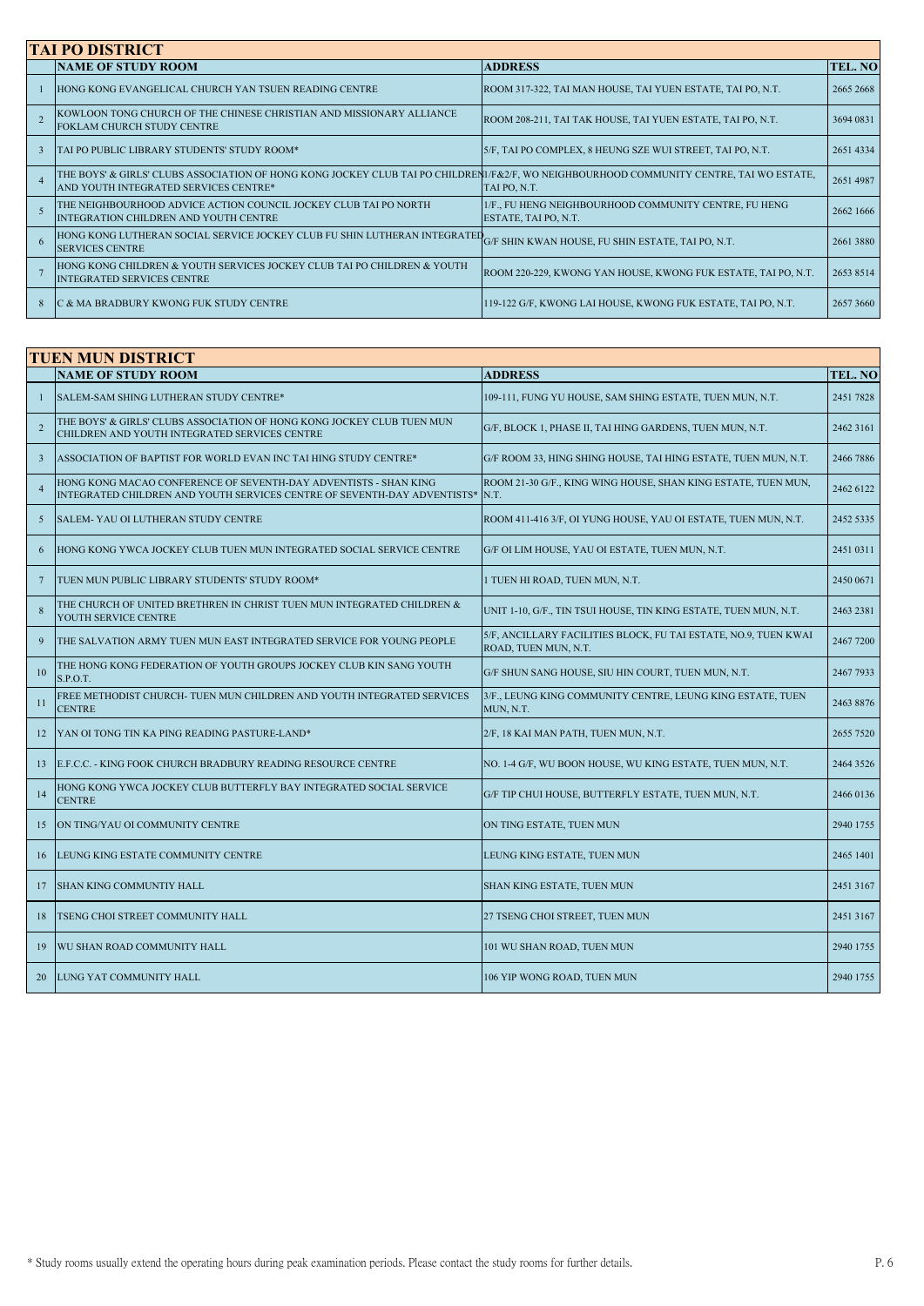|   | <b>TAI PO DISTRICT</b>                                                                                                                                                           |                                                                               |           |  |  |
|---|----------------------------------------------------------------------------------------------------------------------------------------------------------------------------------|-------------------------------------------------------------------------------|-----------|--|--|
|   | <b>NAME OF STUDY ROOM</b>                                                                                                                                                        | <b>ADDRESS</b>                                                                | TEL. NO   |  |  |
|   | HONG KONG EVANGELICAL CHURCH YAN TSUEN READING CENTRE                                                                                                                            | ROOM 317-322, TAI MAN HOUSE, TAI YUEN ESTATE, TAI PO, N.T.                    | 2665 2668 |  |  |
|   | KOWLOON TONG CHURCH OF THE CHINESE CHRISTIAN AND MISSIONARY ALLIANCE<br><b>FOKLAM CHURCH STUDY CENTRE</b>                                                                        | ROOM 208-211, TAI TAK HOUSE, TAI YUEN ESTATE, TAI PO, N.T.                    | 3694 0831 |  |  |
|   | TAI PO PUBLIC LIBRARY STUDENTS' STUDY ROOM*                                                                                                                                      | 5/F, TAI PO COMPLEX, 8 HEUNG SZE WUI STREET, TAI PO, N.T.                     | 2651 4334 |  |  |
|   | THE BOYS' & GIRLS' CLUBS ASSOCIATION OF HONG KONG JOCKEY CLUB TAI PO CHILDRENI/F&2/F, WO NEIGHBOURHOOD COMMUNITY CENTRE, TAI WO ESTATE,<br>AND YOUTH INTEGRATED SERVICES CENTRE* | TAI PO, N.T.                                                                  | 2651 4987 |  |  |
|   | THE NEIGHBOURHOOD ADVICE ACTION COUNCIL JOCKEY CLUB TAI PO NORTH<br>INTEGRATION CHILDREN AND YOUTH CENTRE                                                                        | 1/F., FU HENG NEIGHBOURHOOD COMMUNITY CENTRE, FU HENG<br>ESTATE, TAI PO, N.T. | 2662 1666 |  |  |
|   | HONG KONG LUTHERAN SOCIAL SERVICE JOCKEY CLUB FU SHIN LUTHERAN INTEGRATEL G/F SHIN KWAN HOUSE, FU SHIN ESTATE, TAI PO, N.T.<br><b>SERVICES CENTRE</b>                            |                                                                               | 2661 3880 |  |  |
|   | HONG KONG CHILDREN & YOUTH SERVICES JOCKEY CLUB TAI PO CHILDREN & YOUTH<br><b>INTEGRATED SERVICES CENTRE</b>                                                                     | ROOM 220-229, KWONG YAN HOUSE, KWONG FUK ESTATE, TAI PO, N.T.                 | 2653 8514 |  |  |
| 8 | C & MA BRADBURY KWONG FUK STUDY CENTRE                                                                                                                                           | 119-122 G/F, KWONG LAI HOUSE, KWONG FUK ESTATE, TAI PO, N.T.                  | 26573660  |  |  |

|                 | <b>TUEN MUN DISTRICT</b>                                                                                                                     |                                                                                         |           |  |
|-----------------|----------------------------------------------------------------------------------------------------------------------------------------------|-----------------------------------------------------------------------------------------|-----------|--|
|                 | <b>NAME OF STUDY ROOM</b>                                                                                                                    | <b>ADDRESS</b>                                                                          | TEL. NO   |  |
| 1               | SALEM-SAM SHING LUTHERAN STUDY CENTRE*                                                                                                       | 109-111, FUNG YU HOUSE, SAM SHING ESTATE, TUEN MUN, N.T.                                | 2451 7828 |  |
| $\overline{2}$  | THE BOYS' & GIRLS' CLUBS ASSOCIATION OF HONG KONG JOCKEY CLUB TUEN MUN<br>CHILDREN AND YOUTH INTEGRATED SERVICES CENTRE                      | G/F, BLOCK 1, PHASE II, TAI HING GARDENS, TUEN MUN, N.T.                                | 2462 3161 |  |
| $\overline{3}$  | ASSOCIATION OF BAPTIST FOR WORLD EVAN INC TAI HING STUDY CENTRE*                                                                             | G/F ROOM 33, HING SHING HOUSE, TAI HING ESTATE, TUEN MUN, N.T.                          | 2466 7886 |  |
| $\overline{4}$  | HONG KONG MACAO CONFERENCE OF SEVENTH-DAY ADVENTISTS - SHAN KING<br>INTEGRATED CHILDREN AND YOUTH SERVICES CENTRE OF SEVENTH-DAY ADVENTISTS* | ROOM 21-30 G/F., KING WING HOUSE, SHAN KING ESTATE, TUEN MUN,<br>N.T.                   | 2462 6122 |  |
| 5               | SALEM-YAU OI LUTHERAN STUDY CENTRE                                                                                                           | ROOM 411-416 3/F, OI YUNG HOUSE, YAU OI ESTATE, TUEN MUN, N.T.                          | 2452 5335 |  |
| 6               | HONG KONG YWCA JOCKEY CLUB TUEN MUN INTEGRATED SOCIAL SERVICE CENTRE                                                                         | G/F OI LIM HOUSE, YAU OI ESTATE, TUEN MUN, N.T.                                         | 2451 0311 |  |
| $7\phantom{.0}$ | TUEN MUN PUBLIC LIBRARY STUDENTS' STUDY ROOM*                                                                                                | 1 TUEN HI ROAD, TUEN MUN, N.T.                                                          | 2450 0671 |  |
| 8               | THE CHURCH OF UNITED BRETHREN IN CHRIST TUEN MUN INTEGRATED CHILDREN &<br>YOUTH SERVICE CENTRE                                               | UNIT 1-10, G/F., TIN TSUI HOUSE, TIN KING ESTATE, TUEN MUN, N.T.                        | 2463 2381 |  |
| 9               | THE SALVATION ARMY TUEN MUN EAST INTEGRATED SERVICE FOR YOUNG PEOPLE                                                                         | 5/F, ANCILLARY FACILITIES BLOCK, FU TAI ESTATE, NO.9, TUEN KWAI<br>ROAD, TUEN MUN, N.T. | 2467 7200 |  |
| 10              | THE HONG KONG FEDERATION OF YOUTH GROUPS JOCKEY CLUB KIN SANG YOUTH<br>S.P.O.T.                                                              | G/F SHUN SANG HOUSE, SIU HIN COURT, TUEN MUN, N.T.                                      | 2467 7933 |  |
| 11              | FREE METHODIST CHURCH- TUEN MUN CHILDREN AND YOUTH INTEGRATED SERVICES<br><b>CENTRE</b>                                                      | 3/F., LEUNG KING COMMUNITY CENTRE, LEUNG KING ESTATE, TUEN<br>MUN, N.T.                 | 2463 8876 |  |
| 12              | <b>IYAN OI TONG TIN KA PING READING PASTURE-LAND*</b>                                                                                        | 2/F, 18 KAI MAN PATH, TUEN MUN, N.T.                                                    | 2655 7520 |  |
| 13              | E.F.C.C. - KING FOOK CHURCH BRADBURY READING RESOURCE CENTRE                                                                                 | NO. 1-4 G/F, WU BOON HOUSE, WU KING ESTATE, TUEN MUN, N.T.                              | 2464 3526 |  |
| 14              | HONG KONG YWCA JOCKEY CLUB BUTTERFLY BAY INTEGRATED SOCIAL SERVICE<br><b>CENTRE</b>                                                          | G/F TIP CHUI HOUSE, BUTTERFLY ESTATE, TUEN MUN, N.T.                                    | 2466 0136 |  |
| 15              | ON TING/YAU OI COMMUNITY CENTRE                                                                                                              | ON TING ESTATE, TUEN MUN                                                                | 2940 1755 |  |
| 16              | LEUNG KING ESTATE COMMUNITY CENTRE                                                                                                           | LEUNG KING ESTATE, TUEN MUN                                                             | 2465 1401 |  |
| 17              | SHAN KING COMMUNTIY HALL                                                                                                                     | SHAN KING ESTATE, TUEN MUN                                                              | 2451 3167 |  |
| 18              | TSENG CHOI STREET COMMUNITY HALL                                                                                                             | 27 TSENG CHOI STREET, TUEN MUN                                                          | 2451 3167 |  |
| 19              | WU SHAN ROAD COMMUNITY HALL                                                                                                                  | 101 WU SHAN ROAD, TUEN MUN                                                              | 2940 1755 |  |
| 20              | LUNG YAT COMMUNITY HALL                                                                                                                      | 106 YIP WONG ROAD, TUEN MUN                                                             | 2940 1755 |  |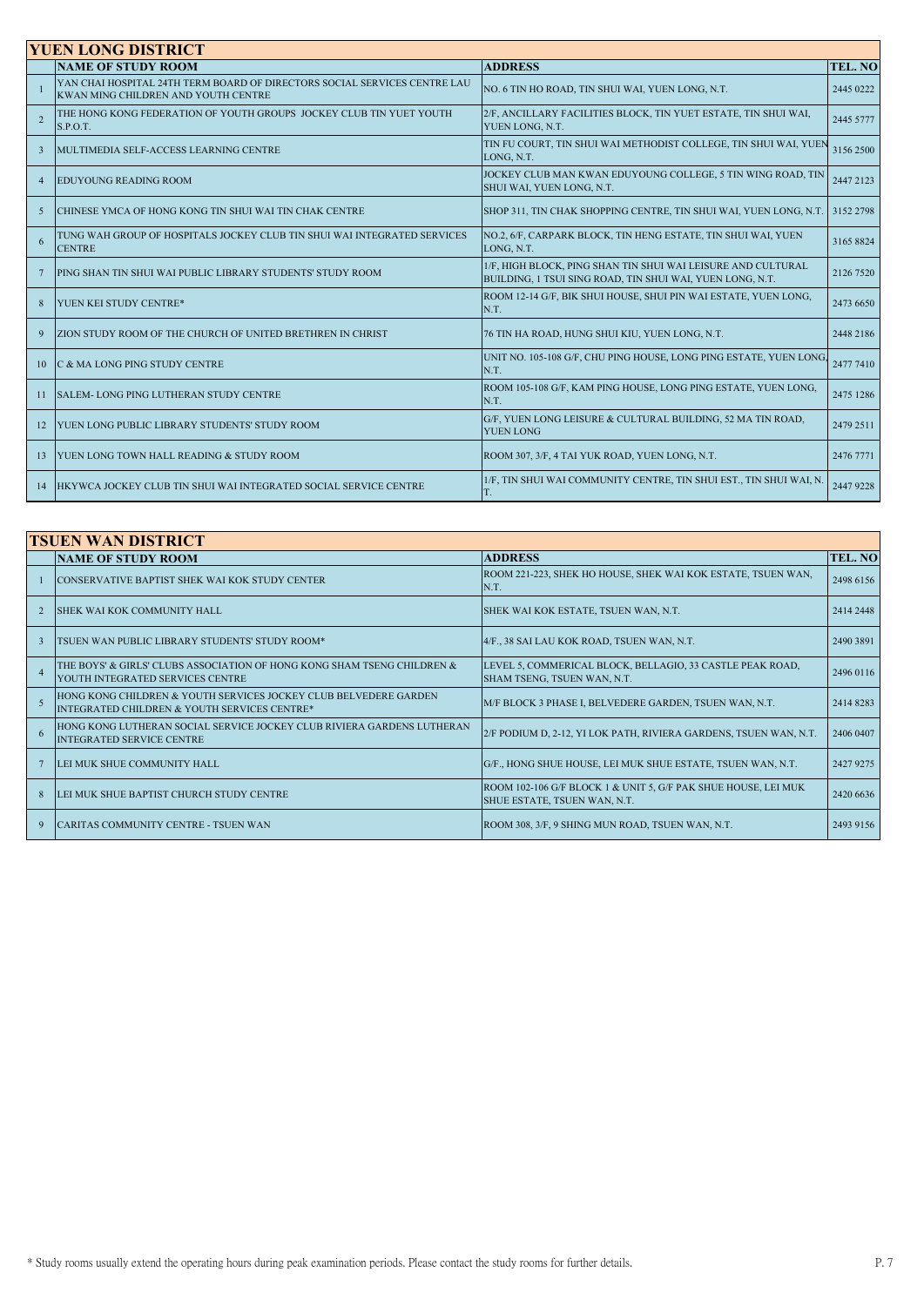| <b>YUEN LONG DISTRICT</b> |                |                                                                                                                  |                                                                                                                           |           |
|---------------------------|----------------|------------------------------------------------------------------------------------------------------------------|---------------------------------------------------------------------------------------------------------------------------|-----------|
|                           |                | <b>NAME OF STUDY ROOM</b>                                                                                        | <b>ADDRESS</b>                                                                                                            | TEL. NO   |
|                           |                | YAN CHAI HOSPITAL 24TH TERM BOARD OF DIRECTORS SOCIAL SERVICES CENTRE LAU<br>KWAN MING CHILDREN AND YOUTH CENTRE | NO. 6 TIN HO ROAD, TIN SHUI WAI, YUEN LONG, N.T.                                                                          | 2445 0222 |
|                           | $\overline{2}$ | THE HONG KONG FEDERATION OF YOUTH GROUPS JOCKEY CLUB TIN YUET YOUTH<br>S.P.O.T.                                  | 2/F, ANCILLARY FACILITIES BLOCK, TIN YUET ESTATE, TIN SHUI WAI,<br>YUEN LONG, N.T.                                        | 2445 5777 |
|                           | $\mathbf{3}$   | MULTIMEDIA SELF-ACCESS LEARNING CENTRE                                                                           | TIN FU COURT, TIN SHUI WAI METHODIST COLLEGE, TIN SHUI WAI, YUEN<br>LONG, N.T.                                            | 3156 2500 |
|                           | $\overline{4}$ | <b>EDUYOUNG READING ROOM</b>                                                                                     | JOCKEY CLUB MAN KWAN EDUYOUNG COLLEGE, 5 TIN WING ROAD, TIN<br>SHUI WAI, YUEN LONG, N.T.                                  | 2447 2123 |
|                           | .5             | CHINESE YMCA OF HONG KONG TIN SHUI WAI TIN CHAK CENTRE                                                           | SHOP 311, TIN CHAK SHOPPING CENTRE, TIN SHUI WAI, YUEN LONG, N.T.                                                         | 3152 2798 |
|                           | 6              | TUNG WAH GROUP OF HOSPITALS JOCKEY CLUB TIN SHUI WAI INTEGRATED SERVICES<br><b>CENTRE</b>                        | NO.2, 6/F, CARPARK BLOCK, TIN HENG ESTATE, TIN SHUI WAI, YUEN<br>LONG, N.T.                                               | 3165 8824 |
|                           |                | <b>PING SHAN TIN SHUI WAI PUBLIC LIBRARY STUDENTS' STUDY ROOM</b>                                                | 1/F, HIGH BLOCK, PING SHAN TIN SHUI WAI LEISURE AND CULTURAL<br>BUILDING, 1 TSUI SING ROAD, TIN SHUI WAI, YUEN LONG, N.T. | 2126 7520 |
|                           |                | YUEN KEI STUDY CENTRE*                                                                                           | ROOM 12-14 G/F, BIK SHUI HOUSE, SHUI PIN WAI ESTATE, YUEN LONG,<br>N.T.                                                   | 2473 6650 |
|                           | 9              | <b>ZION STUDY ROOM OF THE CHURCH OF UNITED BRETHREN IN CHRIST</b>                                                | 76 TIN HA ROAD, HUNG SHUI KIU, YUEN LONG, N.T.                                                                            | 2448 2186 |
|                           | 10             | C & MA LONG PING STUDY CENTRE                                                                                    | UNIT NO. 105-108 G/F, CHU PING HOUSE, LONG PING ESTATE, YUEN LONG,<br>N.T.                                                | 2477 7410 |
|                           | 11             | <b>SALEM-LONG PING LUTHERAN STUDY CENTRE</b>                                                                     | ROOM 105-108 G/F, KAM PING HOUSE, LONG PING ESTATE, YUEN LONG,<br>N.T.                                                    | 2475 1286 |
|                           | 12             | <b>YUEN LONG PUBLIC LIBRARY STUDENTS' STUDY ROOM</b>                                                             | G/F, YUEN LONG LEISURE & CULTURAL BUILDING, 52 MA TIN ROAD,<br><b>YUEN LONG</b>                                           | 2479 2511 |
|                           | 13             | <b>YUEN LONG TOWN HALL READING &amp; STUDY ROOM</b>                                                              | ROOM 307, 3/F, 4 TAI YUK ROAD, YUEN LONG, N.T.                                                                            | 2476 7771 |
|                           | 14             | HKYWCA JOCKEY CLUB TIN SHUI WAI INTEGRATED SOCIAL SERVICE CENTRE                                                 | 1/F, TIN SHUI WAI COMMUNITY CENTRE, TIN SHUI EST., TIN SHUI WAI, N.<br>T.                                                 | 2447 9228 |

| <b>TSUEN WAN DISTRICT</b> |                                                                                                                  |                                                                                                |                |
|---------------------------|------------------------------------------------------------------------------------------------------------------|------------------------------------------------------------------------------------------------|----------------|
|                           | <b>NAME OF STUDY ROOM</b>                                                                                        | <b>ADDRESS</b>                                                                                 | <b>TEL. NO</b> |
|                           | CONSERVATIVE BAPTIST SHEK WAI KOK STUDY CENTER                                                                   | ROOM 221-223, SHEK HO HOUSE, SHEK WAI KOK ESTATE, TSUEN WAN,<br>N.T.                           | 2498 6156      |
|                           | <b>ISHEK WAI KOK COMMUNITY HALL</b>                                                                              | SHEK WAI KOK ESTATE, TSUEN WAN, N.T.                                                           | 2414 2448      |
| $\mathbf{3}$              | TSUEN WAN PUBLIC LIBRARY STUDENTS' STUDY ROOM*                                                                   | 4/F., 38 SAI LAU KOK ROAD, TSUEN WAN, N.T.                                                     | 2490 3891      |
| $\overline{4}$            | THE BOYS' & GIRLS' CLUBS ASSOCIATION OF HONG KONG SHAM TSENG CHILDREN &<br>YOUTH INTEGRATED SERVICES CENTRE      | LEVEL 5, COMMERICAL BLOCK, BELLAGIO, 33 CASTLE PEAK ROAD,<br>SHAM TSENG, TSUEN WAN, N.T.       | 2496 0116      |
|                           | HONG KONG CHILDREN & YOUTH SERVICES JOCKEY CLUB BELVEDERE GARDEN<br>INTEGRATED CHILDREN & YOUTH SERVICES CENTRE* | M/F BLOCK 3 PHASE I, BELVEDERE GARDEN, TSUEN WAN, N.T.                                         | 2414 8283      |
| 6                         | HONG KONG LUTHERAN SOCIAL SERVICE JOCKEY CLUB RIVIERA GARDENS LUTHERAN<br><b>INTEGRATED SERVICE CENTRE</b>       | 2/F PODIUM D, 2-12, YI LOK PATH, RIVIERA GARDENS, TSUEN WAN, N.T.                              | 2406 0407      |
|                           | LEI MUK SHUE COMMUNITY HALL                                                                                      | G/F., HONG SHUE HOUSE, LEI MUK SHUE ESTATE, TSUEN WAN, N.T.                                    | 2427 9275      |
| 8                         | LEI MUK SHUE BAPTIST CHURCH STUDY CENTRE                                                                         | ROOM 102-106 G/F BLOCK 1 & UNIT 5, G/F PAK SHUE HOUSE, LEI MUK<br>SHUE ESTATE, TSUEN WAN, N.T. | 2420 6636      |
| 9                         | <b>CARITAS COMMUNITY CENTRE - TSUEN WAN</b>                                                                      | ROOM 308, 3/F, 9 SHING MUN ROAD, TSUEN WAN, N.T.                                               | 2493 9156      |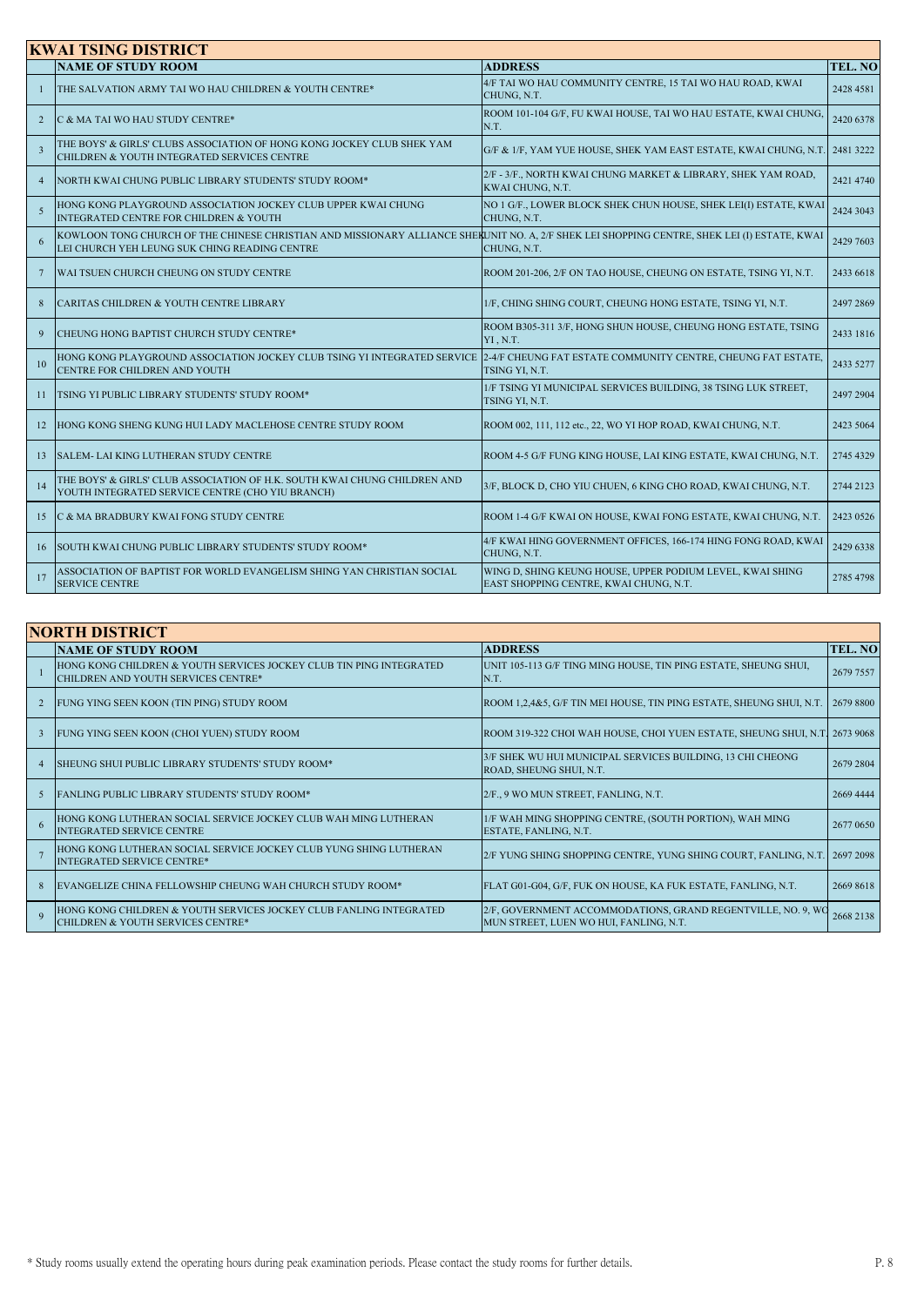| <b>KWAI TSING DISTRICT</b> |                                                                                                                                                                                               |                                                                                                     |           |
|----------------------------|-----------------------------------------------------------------------------------------------------------------------------------------------------------------------------------------------|-----------------------------------------------------------------------------------------------------|-----------|
|                            | <b>NAME OF STUDY ROOM</b>                                                                                                                                                                     | <b>ADDRESS</b>                                                                                      | TEL. NO   |
| H.                         | THE SALVATION ARMY TAI WO HAU CHILDREN & YOUTH CENTRE*                                                                                                                                        | 4/F TAI WO HAU COMMUNITY CENTRE, 15 TAI WO HAU ROAD, KWAI<br>CHUNG, N.T.                            | 2428 4581 |
| $\overline{2}$             | C & MA TAI WO HAU STUDY CENTRE*                                                                                                                                                               | ROOM 101-104 G/F, FU KWAI HOUSE, TAI WO HAU ESTATE, KWAI CHUNG,<br>N.T.                             | 2420 6378 |
| $\overline{3}$             | THE BOYS' & GIRLS' CLUBS ASSOCIATION OF HONG KONG JOCKEY CLUB SHEK YAM<br>CHILDREN & YOUTH INTEGRATED SERVICES CENTRE                                                                         | G/F & 1/F, YAM YUE HOUSE, SHEK YAM EAST ESTATE, KWAI CHUNG, N.T. 2481 3222                          |           |
| $\overline{4}$             | NORTH KWAI CHUNG PUBLIC LIBRARY STUDENTS' STUDY ROOM*                                                                                                                                         | 2/F - 3/F., NORTH KWAI CHUNG MARKET & LIBRARY, SHEK YAM ROAD,<br>KWAI CHUNG, N.T.                   | 2421 4740 |
| $\overline{5}$             | HONG KONG PLAYGROUND ASSOCIATION JOCKEY CLUB UPPER KWAI CHUNG<br>INTEGRATED CENTRE FOR CHILDREN & YOUTH                                                                                       | NO 1 G/F., LOWER BLOCK SHEK CHUN HOUSE, SHEK LEI(I) ESTATE, KWAI<br>CHUNG, N.T.                     | 2424 3043 |
|                            | KOWLOON TONG CHURCH OF THE CHINESE CHRISTIAN AND MISSIONARY ALLIANCE SHERUNIT NO. A, 2/F SHEK LEI SHOPPING CENTRE, SHEK LEI (I) ESTATE, KWAI<br>LEI CHURCH YEH LEUNG SUK CHING READING CENTRE | CHUNG, N.T.                                                                                         | 2429 7603 |
| $7\phantom{.0}$            | WAI TSUEN CHURCH CHEUNG ON STUDY CENTRE                                                                                                                                                       | ROOM 201-206, 2/F ON TAO HOUSE, CHEUNG ON ESTATE, TSING YI, N.T.                                    | 2433 6618 |
| 8                          | CARITAS CHILDREN & YOUTH CENTRE LIBRARY                                                                                                                                                       | 1/F, CHING SHING COURT, CHEUNG HONG ESTATE, TSING YI, N.T.                                          | 2497 2869 |
| 9                          | CHEUNG HONG BAPTIST CHURCH STUDY CENTRE*                                                                                                                                                      | ROOM B305-311 3/F, HONG SHUN HOUSE, CHEUNG HONG ESTATE, TSING<br>YI, N.T.                           | 2433 1816 |
| 10                         | HONG KONG PLAYGROUND ASSOCIATION JOCKEY CLUB TSING YI INTEGRATED SERVICE  2-4/F CHEUNG FAT ESTATE COMMUNITY CENTRE, CHEUNG FAT ESTATE,<br>CENTRE FOR CHILDREN AND YOUTH                       | TSING YI, N.T.                                                                                      | 2433 5277 |
| 11                         | TSING YI PUBLIC LIBRARY STUDENTS' STUDY ROOM*                                                                                                                                                 | 1/F TSING YI MUNICIPAL SERVICES BUILDING, 38 TSING LUK STREET,<br>TSING YI, N.T.                    | 2497 2904 |
| 12                         | HONG KONG SHENG KUNG HUI LADY MACLEHOSE CENTRE STUDY ROOM                                                                                                                                     | ROOM 002, 111, 112 etc., 22, WO YI HOP ROAD, KWAI CHUNG, N.T.                                       | 2423 5064 |
| 13                         | SALEM-LAI KING LUTHERAN STUDY CENTRE                                                                                                                                                          | ROOM 4-5 G/F FUNG KING HOUSE, LAI KING ESTATE, KWAI CHUNG, N.T.                                     | 2745 4329 |
| 14                         | THE BOYS' & GIRLS' CLUB ASSOCIATION OF H.K. SOUTH KWAI CHUNG CHILDREN AND<br>YOUTH INTEGRATED SERVICE CENTRE (CHO YIU BRANCH)                                                                 | 3/F, BLOCK D, CHO YIU CHUEN, 6 KING CHO ROAD, KWAI CHUNG, N.T.                                      | 2744 2123 |
| 15                         | C & MA BRADBURY KWAI FONG STUDY CENTRE                                                                                                                                                        | ROOM 1-4 G/F KWAI ON HOUSE, KWAI FONG ESTATE, KWAI CHUNG, N.T.                                      | 2423 0526 |
| 16                         | SOUTH KWAI CHUNG PUBLIC LIBRARY STUDENTS' STUDY ROOM*                                                                                                                                         | 4/F KWAI HING GOVERNMENT OFFICES, 166-174 HING FONG ROAD, KWAI<br>CHUNG, N.T.                       | 2429 6338 |
| 17                         | ASSOCIATION OF BAPTIST FOR WORLD EVANGELISM SHING YAN CHRISTIAN SOCIAL<br><b>SERVICE CENTRE</b>                                                                                               | WING D, SHING KEUNG HOUSE, UPPER PODIUM LEVEL, KWAI SHING<br>EAST SHOPPING CENTRE, KWAI CHUNG, N.T. | 2785 4798 |

|                | <b>NORTH DISTRICT</b>                                                                                      |                                                                                                        |           |  |
|----------------|------------------------------------------------------------------------------------------------------------|--------------------------------------------------------------------------------------------------------|-----------|--|
|                | <b>NAME OF STUDY ROOM</b>                                                                                  | <b>ADDRESS</b>                                                                                         | TEL. NO   |  |
|                | HONG KONG CHILDREN & YOUTH SERVICES JOCKEY CLUB TIN PING INTEGRATED<br>CHILDREN AND YOUTH SERVICES CENTRE* | UNIT 105-113 G/F TING MING HOUSE, TIN PING ESTATE, SHEUNG SHUI,<br>N.T.                                | 2679 7557 |  |
|                | FUNG YING SEEN KOON (TIN PING) STUDY ROOM                                                                  | ROOM 1.2.4&5, G/F TIN MEI HOUSE, TIN PING ESTATE, SHEUNG SHUI, N.T.                                    | 2679 8800 |  |
|                | FUNG YING SEEN KOON (CHOI YUEN) STUDY ROOM                                                                 | ROOM 319-322 CHOI WAH HOUSE, CHOI YUEN ESTATE, SHEUNG SHUI, N.T. 2673 9068                             |           |  |
| $\overline{4}$ | <b>ISHEUNG SHUI PUBLIC LIBRARY STUDENTS' STUDY ROOM*</b>                                                   | 3/F SHEK WU HUI MUNICIPAL SERVICES BUILDING, 13 CHI CHEONG<br>ROAD, SHEUNG SHUI, N.T.                  | 2679 2804 |  |
| $\sim$         | <b>FANLING PUBLIC LIBRARY STUDENTS' STUDY ROOM*</b>                                                        | 2/F., 9 WO MUN STREET, FANLING, N.T.                                                                   | 2669 4444 |  |
| 6              | HONG KONG LUTHERAN SOCIAL SERVICE JOCKEY CLUB WAH MING LUTHERAN<br><b>INTEGRATED SERVICE CENTRE</b>        | 1/F WAH MING SHOPPING CENTRE, (SOUTH PORTION), WAH MING<br>ESTATE, FANLING, N.T.                       | 2677 0650 |  |
|                | HONG KONG LUTHERAN SOCIAL SERVICE JOCKEY CLUB YUNG SHING LUTHERAN<br><b>INTEGRATED SERVICE CENTRE*</b>     | 2/F YUNG SHING SHOPPING CENTRE, YUNG SHING COURT, FANLING, N.T. 2697 2098                              |           |  |
|                | EVANGELIZE CHINA FELLOWSHIP CHEUNG WAH CHURCH STUDY ROOM*                                                  | FLAT G01-G04, G/F, FUK ON HOUSE, KA FUK ESTATE, FANLING, N.T.                                          | 2669 8618 |  |
|                | HONG KONG CHILDREN & YOUTH SERVICES JOCKEY CLUB FANLING INTEGRATED<br>CHILDREN & YOUTH SERVICES CENTRE*    | 2/F, GOVERNMENT ACCOMMODATIONS, GRAND REGENTVILLE, NO. 9, WC<br>MUN STREET, LUEN WO HUI, FANLING, N.T. | 2668 2138 |  |